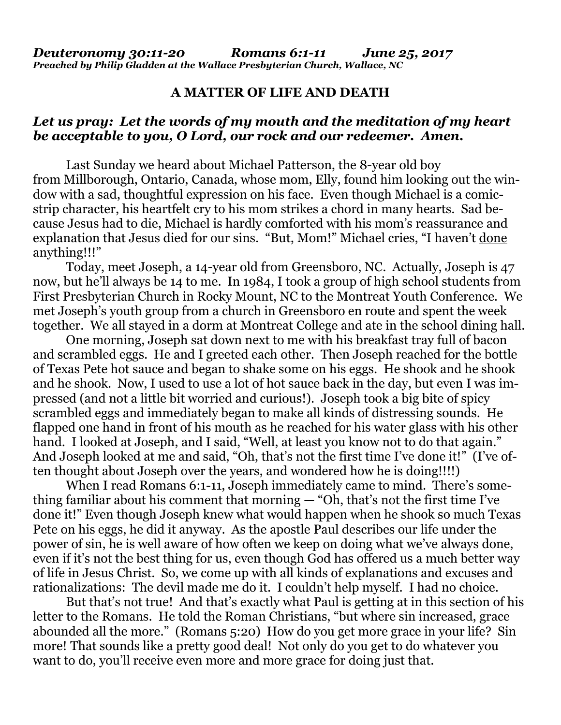## **A MATTER OF LIFE AND DEATH**

## *Let us pray: Let the words of my mouth and the meditation of my heart be acceptable to you, O Lord, our rock and our redeemer. Amen.*

Last Sunday we heard about Michael Patterson, the 8-year old boy from Millborough, Ontario, Canada, whose mom, Elly, found him looking out the window with a sad, thoughtful expression on his face. Even though Michael is a comicstrip character, his heartfelt cry to his mom strikes a chord in many hearts. Sad because Jesus had to die, Michael is hardly comforted with his mom's reassurance and explanation that Jesus died for our sins. "But, Mom!" Michael cries, "I haven't done anything!!!"

Today, meet Joseph, a 14-year old from Greensboro, NC. Actually, Joseph is 47 now, but he'll always be 14 to me. In 1984, I took a group of high school students from First Presbyterian Church in Rocky Mount, NC to the Montreat Youth Conference. We met Joseph's youth group from a church in Greensboro en route and spent the week together. We all stayed in a dorm at Montreat College and ate in the school dining hall.

One morning, Joseph sat down next to me with his breakfast tray full of bacon and scrambled eggs. He and I greeted each other. Then Joseph reached for the bottle of Texas Pete hot sauce and began to shake some on his eggs. He shook and he shook and he shook. Now, I used to use a lot of hot sauce back in the day, but even I was impressed (and not a little bit worried and curious!). Joseph took a big bite of spicy scrambled eggs and immediately began to make all kinds of distressing sounds. He flapped one hand in front of his mouth as he reached for his water glass with his other hand. I looked at Joseph, and I said, "Well, at least you know not to do that again." And Joseph looked at me and said, "Oh, that's not the first time I've done it!" (I've often thought about Joseph over the years, and wondered how he is doing!!!!)

When I read Romans 6:1-11, Joseph immediately came to mind. There's something familiar about his comment that morning — "Oh, that's not the first time I've done it!" Even though Joseph knew what would happen when he shook so much Texas Pete on his eggs, he did it anyway. As the apostle Paul describes our life under the power of sin, he is well aware of how often we keep on doing what we've always done, even if it's not the best thing for us, even though God has offered us a much better way of life in Jesus Christ. So, we come up with all kinds of explanations and excuses and rationalizations: The devil made me do it. I couldn't help myself. I had no choice.

But that's not true! And that's exactly what Paul is getting at in this section of his letter to the Romans. He told the Roman Christians, "but where sin increased, grace abounded all the more." (Romans 5:20) How do you get more grace in your life? Sin more! That sounds like a pretty good deal! Not only do you get to do whatever you want to do, you'll receive even more and more grace for doing just that.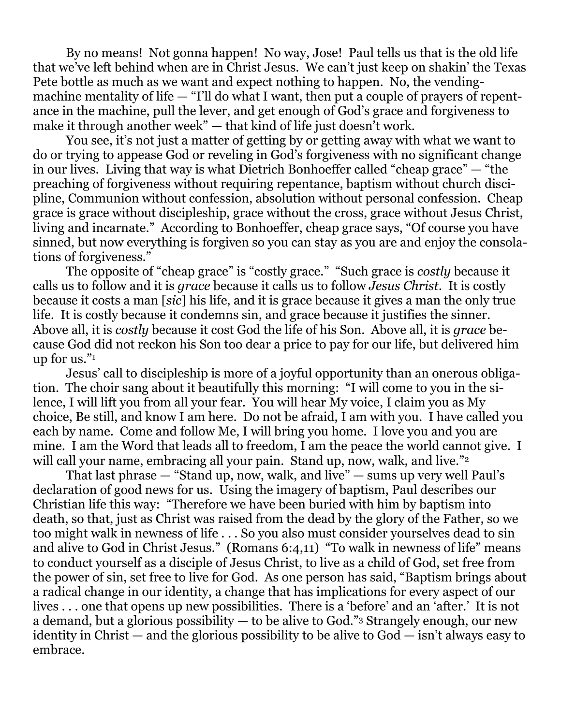By no means! Not gonna happen! No way, Jose! Paul tells us that is the old life that we've left behind when are in Christ Jesus. We can't just keep on shakin' the Texas Pete bottle as much as we want and expect nothing to happen. No, the vendingmachine mentality of life  $-$  "I'll do what I want, then put a couple of prayers of repentance in the machine, pull the lever, and get enough of God's grace and forgiveness to make it through another week" — that kind of life just doesn't work.

You see, it's not just a matter of getting by or getting away with what we want to do or trying to appease God or reveling in God's forgiveness with no significant change in our lives. Living that way is what Dietrich Bonhoeffer called "cheap grace" — "the preaching of forgiveness without requiring repentance, baptism without church discipline, Communion without confession, absolution without personal confession. Cheap grace is grace without discipleship, grace without the cross, grace without Jesus Christ, living and incarnate." According to Bonhoeffer, cheap grace says, "Of course you have sinned, but now everything is forgiven so you can stay as you are and enjoy the consolations of forgiveness."

The opposite of "cheap grace" is "costly grace." "Such grace is *costly* because it calls us to follow and it is *grace* because it calls us to follow *Jesus Christ*. It is costly because it costs a man [*sic*] his life, and it is grace because it gives a man the only true life. It is costly because it condemns sin, and grace because it justifies the sinner. Above all, it is *costly* because it cost God the life of his Son. Above all, it is *grace* because God did not reckon his Son too dear a price to pay for our life, but delivered him up for us."<sup>1</sup>

Jesus' call to discipleship is more of a joyful opportunity than an onerous obligation. The choir sang about it beautifully this morning: "I will come to you in the silence, I will lift you from all your fear. You will hear My voice, I claim you as My choice, Be still, and know I am here. Do not be afraid, I am with you. I have called you each by name. Come and follow Me, I will bring you home. I love you and you are mine. I am the Word that leads all to freedom, I am the peace the world cannot give. I will call your name, embracing all your pain. Stand up, now, walk, and live."<sup>2</sup>

That last phrase  $-$  "Stand up, now, walk, and live"  $-$  sums up very well Paul's declaration of good news for us. Using the imagery of baptism, Paul describes our Christian life this way: "Therefore we have been buried with him by baptism into death, so that, just as Christ was raised from the dead by the glory of the Father, so we too might walk in newness of life . . . So you also must consider yourselves dead to sin and alive to God in Christ Jesus." (Romans 6:4,11) "To walk in newness of life" means to conduct yourself as a disciple of Jesus Christ, to live as a child of God, set free from the power of sin, set free to live for God. As one person has said, "Baptism brings about a radical change in our identity, a change that has implications for every aspect of our lives . . . one that opens up new possibilities. There is a 'before' and an 'after.' It is not a demand, but a glorious possibility — to be alive to God."<sup>3</sup> Strangely enough, our new identity in Christ — and the glorious possibility to be alive to God — isn't always easy to embrace.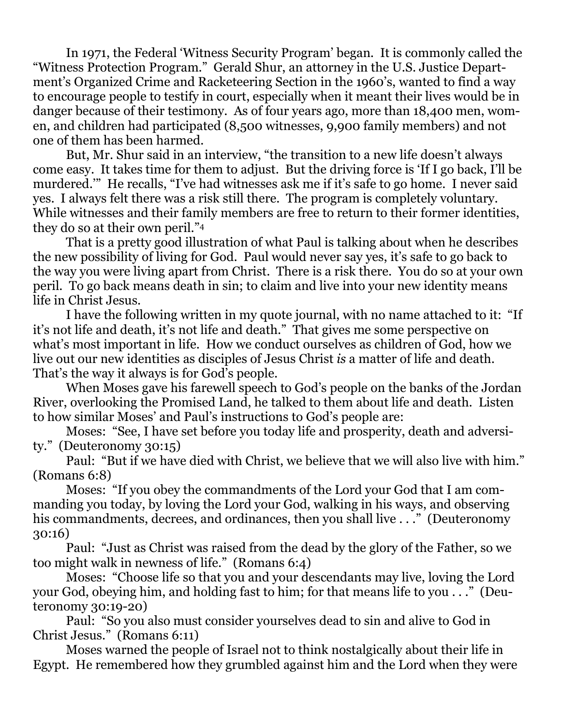In 1971, the Federal 'Witness Security Program' began. It is commonly called the "Witness Protection Program." Gerald Shur, an attorney in the U.S. Justice Department's Organized Crime and Racketeering Section in the 1960's, wanted to find a way to encourage people to testify in court, especially when it meant their lives would be in danger because of their testimony. As of four years ago, more than 18,400 men, women, and children had participated (8,500 witnesses, 9,900 family members) and not one of them has been harmed.

But, Mr. Shur said in an interview, "the transition to a new life doesn't always come easy. It takes time for them to adjust. But the driving force is 'If I go back, I'll be murdered.'" He recalls, "I've had witnesses ask me if it's safe to go home. I never said yes. I always felt there was a risk still there. The program is completely voluntary. While witnesses and their family members are free to return to their former identities, they do so at their own peril."<sup>4</sup>

That is a pretty good illustration of what Paul is talking about when he describes the new possibility of living for God. Paul would never say yes, it's safe to go back to the way you were living apart from Christ. There is a risk there. You do so at your own peril. To go back means death in sin; to claim and live into your new identity means life in Christ Jesus.

I have the following written in my quote journal, with no name attached to it: "If it's not life and death, it's not life and death." That gives me some perspective on what's most important in life. How we conduct ourselves as children of God, how we live out our new identities as disciples of Jesus Christ *is* a matter of life and death. That's the way it always is for God's people.

When Moses gave his farewell speech to God's people on the banks of the Jordan River, overlooking the Promised Land, he talked to them about life and death. Listen to how similar Moses' and Paul's instructions to God's people are:

Moses: "See, I have set before you today life and prosperity, death and adversity." (Deuteronomy 30:15)

Paul: "But if we have died with Christ, we believe that we will also live with him." (Romans 6:8)

Moses: "If you obey the commandments of the Lord your God that I am commanding you today, by loving the Lord your God, walking in his ways, and observing his commandments, decrees, and ordinances, then you shall live . . ." (Deuteronomy 30:16)

Paul: "Just as Christ was raised from the dead by the glory of the Father, so we too might walk in newness of life." (Romans 6:4)

Moses: "Choose life so that you and your descendants may live, loving the Lord your God, obeying him, and holding fast to him; for that means life to you . . ." (Deuteronomy 30:19-20)

Paul: "So you also must consider yourselves dead to sin and alive to God in Christ Jesus." (Romans 6:11)

Moses warned the people of Israel not to think nostalgically about their life in Egypt. He remembered how they grumbled against him and the Lord when they were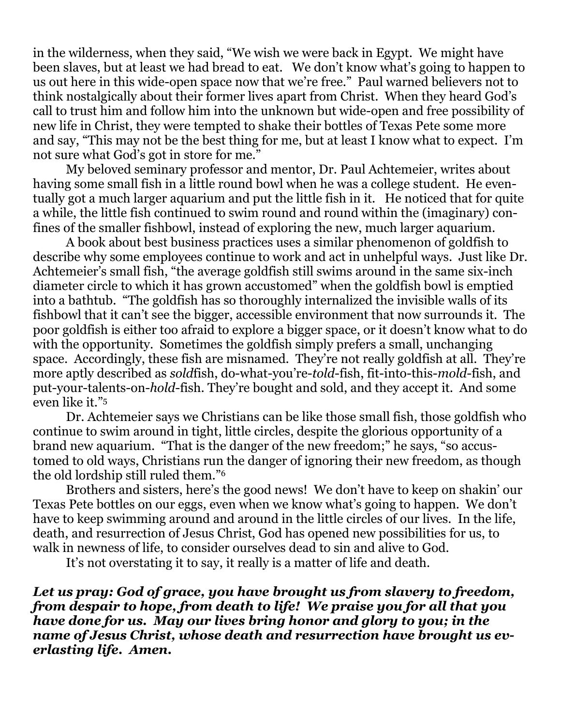in the wilderness, when they said, "We wish we were back in Egypt. We might have been slaves, but at least we had bread to eat. We don't know what's going to happen to us out here in this wide-open space now that we're free." Paul warned believers not to think nostalgically about their former lives apart from Christ. When they heard God's call to trust him and follow him into the unknown but wide-open and free possibility of new life in Christ, they were tempted to shake their bottles of Texas Pete some more and say, "This may not be the best thing for me, but at least I know what to expect. I'm not sure what God's got in store for me."

My beloved seminary professor and mentor, Dr. Paul Achtemeier, writes about having some small fish in a little round bowl when he was a college student. He eventually got a much larger aquarium and put the little fish in it. He noticed that for quite a while, the little fish continued to swim round and round within the (imaginary) confines of the smaller fishbowl, instead of exploring the new, much larger aquarium.

A book about best business practices uses a similar phenomenon of goldfish to describe why some employees continue to work and act in unhelpful ways. Just like Dr. Achtemeier's small fish, "the average goldfish still swims around in the same six-inch diameter circle to which it has grown accustomed" when the goldfish bowl is emptied into a bathtub. "The goldfish has so thoroughly internalized the invisible walls of its fishbowl that it can't see the bigger, accessible environment that now surrounds it. The poor goldfish is either too afraid to explore a bigger space, or it doesn't know what to do with the opportunity. Sometimes the goldfish simply prefers a small, unchanging space. Accordingly, these fish are misnamed. They're not really goldfish at all. They're more aptly described as *sold*fish, do-what-you're-*told*-fish, fit-into-this-*mold*-fish, and put-your-talents-on-*hold*-fish. They're bought and sold, and they accept it. And some even like it."<sup>5</sup>

Dr. Achtemeier says we Christians can be like those small fish, those goldfish who continue to swim around in tight, little circles, despite the glorious opportunity of a brand new aquarium. "That is the danger of the new freedom;" he says, "so accustomed to old ways, Christians run the danger of ignoring their new freedom, as though the old lordship still ruled them."<sup>6</sup>

Brothers and sisters, here's the good news! We don't have to keep on shakin' our Texas Pete bottles on our eggs, even when we know what's going to happen. We don't have to keep swimming around and around in the little circles of our lives. In the life, death, and resurrection of Jesus Christ, God has opened new possibilities for us, to walk in newness of life, to consider ourselves dead to sin and alive to God.

It's not overstating it to say, it really is a matter of life and death.

*Let us pray: God of grace, you have brought us from slavery to freedom, from despair to hope, from death to life! We praise you for all that you have done for us. May our lives bring honor and glory to you; in the name of Jesus Christ, whose death and resurrection have brought us everlasting life. Amen.*